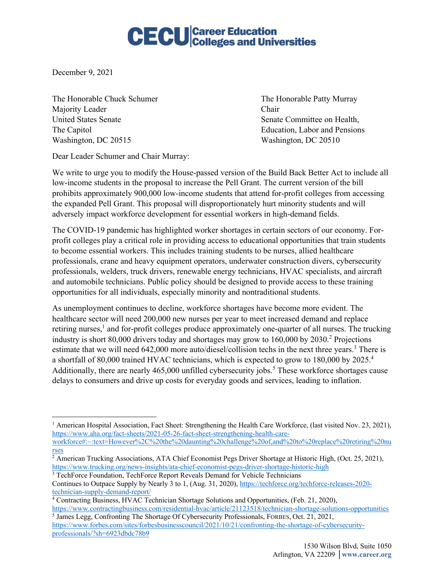## **CECU** Career Education<br>CECU Colleges and Universities

December 9, 2021

The Honorable Chuck Schumer The Honorable Patty Murray Majority Leader Chair United States Senate Senate Senate Senate Committee on Health, The Capitol Education, Labor and Pensions Washington, DC 20515 Washington, DC 20510

Dear Leader Schumer and Chair Murray:

We write to urge you to modify the House-passed version of the Build Back Better Act to include all low-income students in the proposal to increase the Pell Grant. The current version of the bill prohibits approximately 900,000 low-income students that attend for-profit colleges from accessing the expanded Pell Grant. This proposal will disproportionately hurt minority students and will adversely impact workforce development for essential workers in high-demand fields.

The COVID-19 pandemic has highlighted worker shortages in certain sectors of our economy. Forprofit colleges play a critical role in providing access to educational opportunities that train students to become essential workers. This includes training students to be nurses, allied healthcare professionals, crane and heavy equipment operators, underwater construction divers, cybersecurity professionals, welders, truck drivers, renewable energy technicians, HVAC specialists, and aircraft and automobile technicians. Public policy should be designed to provide access to these training opportunities for all individuals, especially minority and nontraditional students.

As unemployment continues to decline, workforce shortages have become more evident. The healthcare sector will need 200,000 new nurses per year to meet increased demand and replace retiring nurses,<sup>1</sup> and for-profit colleges produce approximately one-quarter of all nurses. The trucking industry is short 80,000 drivers today and shortages may grow to 160,000 by 2030.<sup>2</sup> Projections estimate that we will need 642,000 more auto/diesel/collision techs in the next three years.<sup>3</sup> There is a shortfall of 80,000 trained HVAC technicians, which is expected to grow to 180,000 by 2025.<sup>4</sup> Additionally, there are nearly  $465,000$  unfilled cybersecurity jobs.<sup>5</sup> These workforce shortages cause delays to consumers and drive up costs for everyday goods and services, leading to inflation.

<sup>&</sup>lt;sup>1</sup> American Hospital Association, Fact Sheet: Strengthening the Health Care Workforce, (last visited Nov. 23, 2021), https://www.aha.org/fact-sheets/2021-05-26-fact-sheet-strengthening-health-care-

workforce#:~:text=However%2C%20the%20daunting%20challenge%20of,and%20to%20replace%20retiring%20nu rses

<sup>&</sup>lt;sup>2</sup> American Trucking Associations, ATA Chief Economist Pegs Driver Shortage at Historic High, (Oct. 25, 2021), https://www.trucking.org/news-insights/ata-chief-economist-pegs-driver-shortage-historic-high

<sup>&</sup>lt;sup>3</sup> TechForce Foundation, TechForce Report Reveals Demand for Vehicle Technicians Continues to Outpace Supply by Nearly 3 to 1, (Aug. 31, 2020), https://techforce.org/techforce-releases-2020 technician-supply-demand-report/

<sup>4</sup> Contracting Business, HVAC Technician Shortage Solutions and Opportunities, (Feb. 21, 2020), https://www.contractingbusiness.com/residential-hvac/article/21123518/technician-shortage-solutions-opportunities

<sup>&</sup>lt;sup>5</sup> James Legg, Confronting The Shortage Of Cybersecurity Professionals, FORBES, Oct. 21, 2021, https://www.forbes.com/sites/forbesbusinesscouncil/2021/10/21/confronting-the-shortage-of-cybersecurityprofessionals/?sh=6923dbdc78b9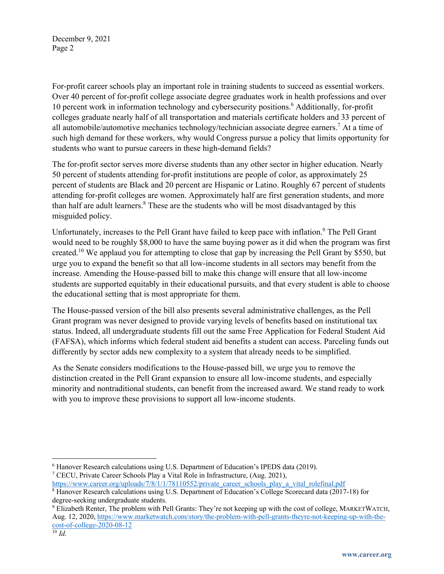December 9, 2021 Page 2

For-profit career schools play an important role in training students to succeed as essential workers. Over 40 percent of for-profit college associate degree graduates work in health professions and over 10 percent work in information technology and cybersecurity positions.6 Additionally, for-profit colleges graduate nearly half of all transportation and materials certificate holders and 33 percent of all automobile/automotive mechanics technology/technician associate degree earners.7 At a time of such high demand for these workers, why would Congress pursue a policy that limits opportunity for students who want to pursue careers in these high-demand fields?

The for-profit sector serves more diverse students than any other sector in higher education. Nearly 50 percent of students attending for-profit institutions are people of color, as approximately 25 percent of students are Black and 20 percent are Hispanic or Latino. Roughly 67 percent of students attending for-profit colleges are women. Approximately half are first generation students, and more than half are adult learners.<sup>8</sup> These are the students who will be most disadvantaged by this misguided policy.

Unfortunately, increases to the Pell Grant have failed to keep pace with inflation.<sup>9</sup> The Pell Grant would need to be roughly \$8,000 to have the same buying power as it did when the program was first created.<sup>10</sup> We applaud you for attempting to close that gap by increasing the Pell Grant by \$550, but urge you to expand the benefit so that all low-income students in all sectors may benefit from the increase. Amending the House-passed bill to make this change will ensure that all low-income students are supported equitably in their educational pursuits, and that every student is able to choose the educational setting that is most appropriate for them.

The House-passed version of the bill also presents several administrative challenges, as the Pell Grant program was never designed to provide varying levels of benefits based on institutional tax status. Indeed, all undergraduate students fill out the same Free Application for Federal Student Aid (FAFSA), which informs which federal student aid benefits a student can access. Parceling funds out differently by sector adds new complexity to a system that already needs to be simplified.

As the Senate considers modifications to the House-passed bill, we urge you to remove the distinction created in the Pell Grant expansion to ensure all low-income students, and especially minority and nontraditional students, can benefit from the increased award. We stand ready to work with you to improve these provisions to support all low-income students.

<sup>&</sup>lt;sup>6</sup> Hanover Research calculations using U.S. Department of Education's IPEDS data (2019).<br><sup>7</sup> CECU, Private Career Schools Play a Vital Role in Infrastructure, (Aug. 2021),

https://www.career.org/uploads/7/8/1/1/78110552/private\_career\_schools\_play\_a\_vital\_rolefinal.pdf

<sup>8</sup> Hanover Research calculations using U.S. Department of Education's College Scorecard data (2017-18) for degree-seeking undergraduate students.

<sup>9</sup> Elizabeth Renter, The problem with Pell Grants: They're not keeping up with the cost of college, MARKETWATCH, Aug. 12, 2020, https://www.marketwatch.com/story/the-problem-with-pell-grants-theyre-not-keeping-up-with-thecost-of-college-2020-08-12

 $\overline{10}$  *Id.*